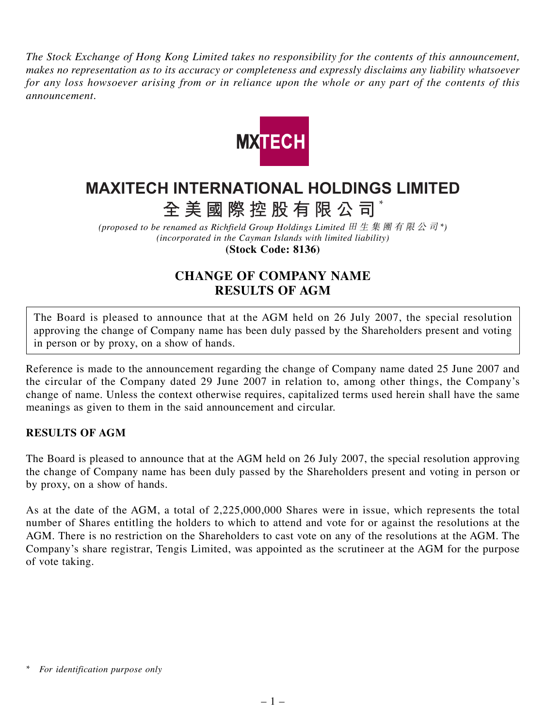*The Stock Exchange of Hong Kong Limited takes no responsibility for the contents of this announcement, makes no representation as to its accuracy or completeness and expressly disclaims any liability whatsoever for any loss howsoever arising from or in reliance upon the whole or any part of the contents of this announcement.*



## **MAXITECH INTERNATIONAL HOLDINGS LIMITED**

**全美國際控股有限公司** \*

*(proposed to be renamed as Richfield Group Holdings Limited* 田生集團有限公司 *\*) (incorporated in the Cayman Islands with limited liability)* **(Stock Code: 8136)**

## **CHANGE OF COMPANY NAME RESULTS OF AGM**

The Board is pleased to announce that at the AGM held on 26 July 2007, the special resolution approving the change of Company name has been duly passed by the Shareholders present and voting in person or by proxy, on a show of hands.

Reference is made to the announcement regarding the change of Company name dated 25 June 2007 and the circular of the Company dated 29 June 2007 in relation to, among other things, the Company's change of name. Unless the context otherwise requires, capitalized terms used herein shall have the same meanings as given to them in the said announcement and circular.

## **RESULTS OF AGM**

The Board is pleased to announce that at the AGM held on 26 July 2007, the special resolution approving the change of Company name has been duly passed by the Shareholders present and voting in person or by proxy, on a show of hands.

As at the date of the AGM, a total of 2,225,000,000 Shares were in issue, which represents the total number of Shares entitling the holders to which to attend and vote for or against the resolutions at the AGM. There is no restriction on the Shareholders to cast vote on any of the resolutions at the AGM. The Company's share registrar, Tengis Limited, was appointed as the scrutineer at the AGM for the purpose of vote taking.

*<sup>\*</sup> For identification purpose only*